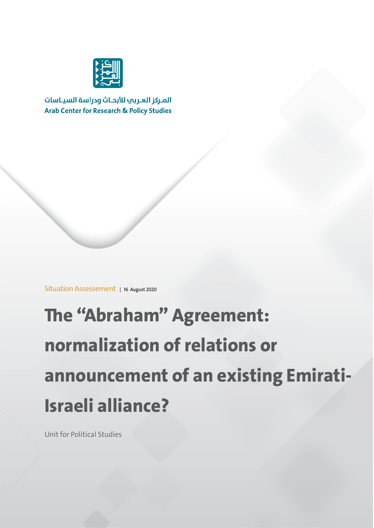

المركز العربي للأبحاث ودراسة السياسات **Arab Center for Research & Policy Studies** 

Situation Assessement | 16 August 2020

# **The "Abraham" Agreement: normalization of relations or announcement of an existing Emirati-Israeli alliance?**

Unit for Political Studies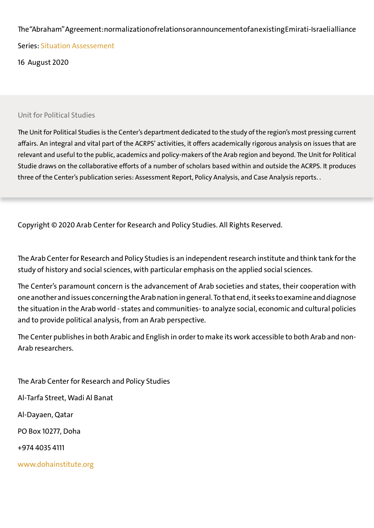#### The "Abraham" Agreement: normalization of relations or announcement of an existing Emirati-Israeli allianc

Series: Situation Assessement

16 August 2020

#### Unit for Political Studies

The Unit for Political Studies is the Center's department dedicated to the study of the region's most pressing current affairs. An integral and vital part of the ACRPS' activities, it offers academically rigorous analysis on issues that are relevant and useful to the public, academics and policy-makers of the Arab region and beyond. The Unit for Political Studie draws on the collaborative efforts of a number of scholars based within and outside the ACRPS. It produces three of the Center's publication series: Assessment Report, Policy Analysis, and Case Analysis reports. .

Copyright © 2020 Arab Center for Research and Policy Studies. All Rights Reserved.

The Arab Center for Research and Policy Studies is an independent research institute and think tank for the study of history and social sciences, with particular emphasis on the applied social sciences.

The Center's paramount concern is the advancement of Arab societies and states, their cooperation with one another and issues concerning the Arab nation in general.To that end, it seeks to examine anddiagnose the situation in the Arab world - states and communities- to analyze social, economic and cultural policies and to provide political analysis, from an Arab perspective.

The Center publishes in both Arabic and English in order to make its work accessible to both Arab and non-Arab researchers.

The Arab Center for Research and Policy Studies Al-Tarfa Street, Wadi Al Banat Al-Dayaen, Qatar PO Box 10277, Doha +974 4035 4111 www.dohainstitute.org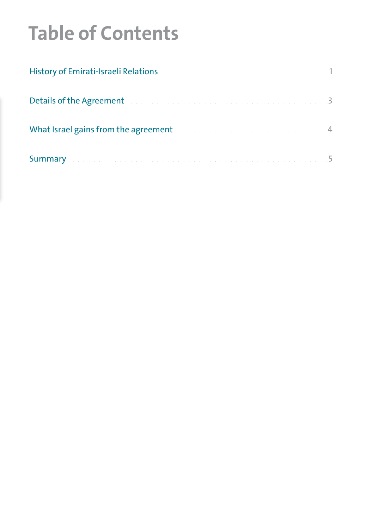## **Table of Contents**

| History of Emirati-Israeli Relations and a construction of the construction of 1             |  |
|----------------------------------------------------------------------------------------------|--|
| Details of the Agreement and a constrained and a constraint constraint and 3                 |  |
| What Israel gains from the agreement. The account of the contract of the state of 4          |  |
| Summary. The contract of the contract of the contract of the contract of the contract of $5$ |  |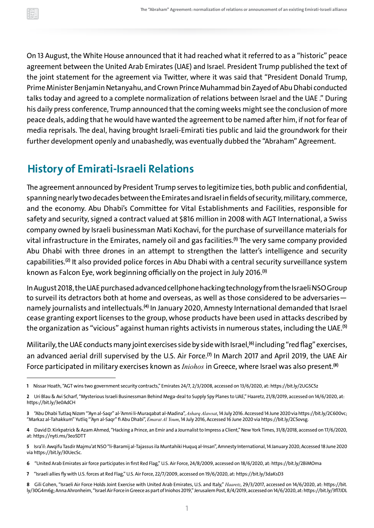<span id="page-3-0"></span>On 13 August, the White House announced that it had reached what it referred to as a "historic" peace agreement between the United Arab Emirates (UAE) and Israel. President Trump published the text of the joint statement for the agreement via Twitter, where it was said that "President Donald Trump, Prime Minister Benjamin Netanyahu, and Crown Prince Muhammad bin Zayed of Abu Dhabi conducted talks today and agreed to a complete normalization of relations between Israel and the UAE ." During his daily press conference, Trump announced that the coming weeks might see the conclusion of more peace deals, adding that he would have wanted the agreement to be named after him, if not for fear of media reprisals. The deal, having brought Israeli-Emirati ties public and laid the groundwork for their further development openly and unabashedly, was eventually dubbed the "Abraham" Agreement.

## **History of Emirati-Israeli Relations**

The agreement announced by President Trump serves to legitimize ties, both public and confidential, spanning nearly two decades between the Emirates and Israel in fields of security, military, commerce, and the economy. Abu Dhabi's Committee for Vital Establishments and Facilities, responsible for safety and security, signed a contract valued at \$816 million in 2008 with AGT International, a Swiss company owned by Israeli businessman Mati Kochavi, for the purchase of surveillance materials for vital infrastructure in the Emirates, namely oil and gas facilities. **(1)** The very same company provided Abu Dhabi with three drones in an attempt to strengthen the latter's intelligence and security capabilities.<sup>(2)</sup> It also provided police forces in Abu Dhabi with a central security surveillance syst known as Falcon Eye, work beginning officially on the project in July 2016.**(3)**

In August 2018, the UAE purchased advanced cellphone hacking technology from the Israeli NSOGroup to surveil its detractors both at home and overseas, as well as those considered to be adversaries namely journalists and intellectuals.<sup>(4)</sup> In January 2020, Amnesty International demanded th cease granting export licenses to the group, whose products have been used in attacks described by the organization as "vicious" against human rights activists in numerous states, including the UAE. **(5)**

Militarily, the UAE conducts many joint exercises side by side with Israel, **(6)** including "redflag" exercises, an advanced aerial drill supervised by the U.S. Air Force.<sup>(7)</sup> In March 2017 and April 2019, the UAE Force participated in military exercises known as *Iniohos* in Greece, where Israel was also present. **(8)**

**7**"Israeli allies fly with U.S. forces at Red Flag," U.S. Air Force, 22/7/2009, accessed on 19/6/2020, at: htt[ps://bit.ly/3daKsD3](https://bit.ly/3daKsD3)

**<sup>1</sup>** Nissar Hoath, "AGT wins two government security contracts," Emirates 24/7, 2/3/2008, accessed on 13/6/2020, at: htt[ps://bit.ly/2UG5C5z](https://bit.ly/2UG5C5z)

**<sup>2</sup>** Uri Blau & Avi Scharf, "Mysterious Israeli Businessman Behind Mega-deal to Supply Spy Planes to UAE," Haaretz, 21/8/2019, accessed on 14/6/2020, at: <https://bit.ly/3e0AdCH>

**<sup>3</sup>**"Abu Dhabi Tutlaq Niz m "'Ayn al-Saqr" al-'Amni li-Muraqabat al-Madina", *Asharq Alawsat*,14 July 2016. Accessed 14 June 2020 via htt[ps://bit.ly/2C600vc;](https://bit.ly/2C600vc;) "Markaz al-Tahakkum" Yutliq "'Ayn al-Saqr" fi Abu Dhabi", *Emarat Al Youm*,14 July 2016, Accessed 16 June 2020 via htt[ps://bit.ly/2C5ovsg.](https://bit.ly/2C5ovsg)

**<sup>4</sup>** DavidD. Kirkpatrick & Azam Ahmed, "Hacking a Prince, an Emir and a Journalist to Impress a Client," New York Times, 31/8/2018, accessed on 17/6/2020, at: htt[ps://nyti.ms/3eo5DTT](https://nyti.ms/3eo5DTT)

**<sup>5</sup>** Isra'il: Awqifu Tasdir Majmu'at NSO "li-Baramij al-Tajassus ila Muntahiki Huquq al-Insan", Amnesty International,14 January 2020, Accessed 18 June 2020 via htt[ps://bit.ly/30UecSc](https://bit.ly/30UecSc).

**<sup>6</sup>**"United Arab Emirates air force participates in first Red Flag," U.S. Air Force, 24/8/2009, accessed on 18/6/2020, at: htt[ps://bit.ly/2BiMOma](https://bit.ly/2BiMOma)

**<sup>8</sup>** Gili Cohen, "Israeli Air Force Holds Joint Exercise with United Arab Emirates, U.S. and Italy," *Haaretz*, 29/3/2017, accessed on 14/6/2020, at: htt[ps://bit.](https://bit.ly/30G4m6g) [ly/30G4m6g](https://bit.ly/30G4m6g); Anna Ahronheim, "Israel Air Force in Greece as part of Iniohos 2019," Jerusalem Post,8/4/2019, accessed on 14/6/2020, at: htt[ps://bit.ly/3fl7JDL](https://bit.ly/3fl7JDL)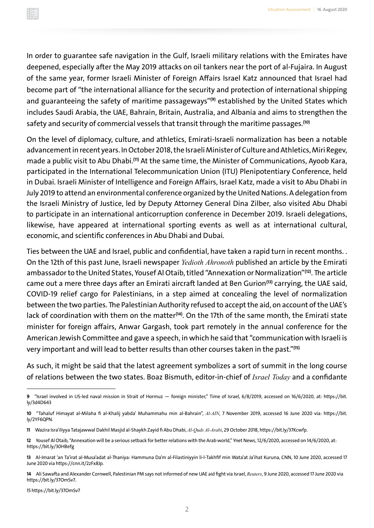In order to guarantee safe navigation in the Gulf, Israeli military relations with the Emirates have deepened, especially after the May 2019 attacks on oil tankers near the port of al-Fujaira. In August of the same year, former Israeli Minister of Foreign Affairs Israel Katz announced that Israel had become part of "the international alliance for the security and protection of international shipping and guaranteeing the safety of maritime passageways"**(9)** established by the United States which includes Saudi Arabia, the UAE, Bahrain, Britain, Australia, and Albania and aims to strengthen the safety and security of commercial vessels that transit through the maritime passages. **(10)**

On the level of diplomacy, culture, and athletics, Emirati-Israeli normalization has been a notable advancement in recent years. In October 2018, the Israeli Minister of Culture and Athletics, Miri Regev, made a public visit to Abu Dhabi. **(11)** At the same time, the Minister of Communications, Ayoob Kara, participated in the International Telecommunication Union (ITU) Plenipotentiary Conference, held in Dubai. Israeli Minister of Intelligence and Foreign Affairs, Israel Katz, made a visit to Abu Dhabi in July 2019 to attend an environmental conference organized by the United Nations. A delegation from the Israeli Ministry of Justice, led by Deputy Attorney General Dina Zilber, also visited Abu Dhabi to participate in an international anticorruption conference in December 2019. Israeli delegations, likewise, have appeared at international sporting events as well as at international cultural, economic, and scientific conferences in Abu Dhabi and Dubai.

Ties between the UAE and Israel, public and confidential, have taken a rapid turn in recent months. . On the 12th of this past June, Israeli newspaper *Yedioth Ahronoth* published an article by the Emirati ambassador to the United States, Yousef Al Otaib, titled "Annexation or Normalization"**(12)**. The article came out a mere three days after an Emirati aircraft landed at Ben Gurion**(13)** carrying, the UAE said, COVID-19 relief cargo for Palestinians, in a step aimed at concealing the level of normalization between the two parties. The Palestinian Authority refused to accept the aid, on account of the UAE's lack of coordination with them on the matter**(14)**. On the 17th of the same month, the Emirati state minister for foreign affairs, Anwar Gargash, took part remotely in the annual conference for American Jewish Committee and gave a speech, in which he said that "communication with Israeli is very important and will lead to better results than other courses taken in the past."**(15)**

As such, it might be said that the latest agreement symbolizes a sort of summit in the long course of relations between the two states. Boaz Bismuth, editor-in-chief of *Israel Today* and a confidante

15<https://bit.ly/37OmSv7>

**<sup>9</sup>**"Israel involved in US-led naval mission in Strait of Hormuz — foreign minister," Time of Israel, 6/8/2019, accessed on 16/6/2020, at: htt[ps://bit.](https://bit.ly/3d4D643) [ly/3d4D643](https://bit.ly/3d4D643)

**<sup>10</sup>**"Tahaluf Himayat al-Milaha fi al-Khalij yabda' Muhammahu min al-Bahrain", *Al-AIN*, 7 November 2019, accessed 16 June 2020 via: htt[ps://bit.](https://bit.ly/2YF6QPN) [ly/2YF6QPN.](https://bit.ly/2YF6QPN)

**<sup>11</sup>** Wazira Isra'iliyya Tatajawwal Dakhil Masjid al-Shaykh Zayid fi Abu Dhabi, *Al-Quds Al-Arabi*, 29 October 2018,<https://bit.ly/37Kcwfp>.

**<sup>12</sup>** Yousef Al Otaib, "Annexation will be a serious setback for better relations with the Arab world," Ynet News,12/6/2020, accessed on 14/6/2020, at: <https://bit.ly/30HBefg>

**<sup>13</sup>** Al-Imarat 'an Ta'irat al-Musa'adat al-Thaniya: Hammuna Da'm al-Filastiniyyin li-l-Takhfif min Wata'at Ja'ihat Kuruna, CNN, 10 June 2020, accessed 17 June 2020 via htt[ps://cnn.it/2zFx8Jp](https://cnn.it/2zFx8Jp).

**<sup>14</sup>** Ali Sawafta and Alexander Cornwell, Palestinian PM says not informed of new UAE aid fight via Israel, *Reuters*, 9 June 2020, accessed 17 June 2020 via [https://bit.ly/37OmSv7.](https://bit.ly/37OmSv7)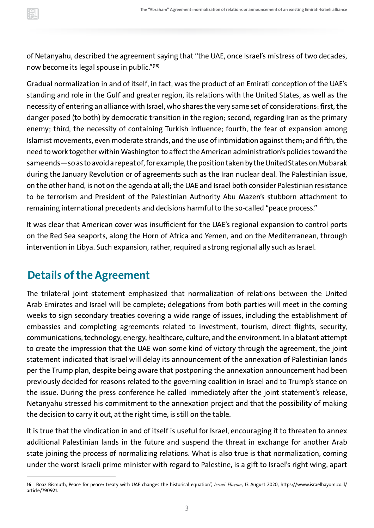<span id="page-5-0"></span>

of Netanyahu, described the agreement saying that "the UAE, once Israel's mistress of two decades, now become its legal spouse in public."**(16)**

Gradual normalization in and of itself, in fact, was the product of an Emirati conception of the UAE's standing and role in the Gulf and greater region, its relations with the United States, as well as the necessity of entering an alliance with Israel, who shares the very same set of considerations: first, the danger posed (to both) by democratic transition in the region; second, regarding Iran as the primary enemy; third, the necessity of containing Turkish influence; fourth, the fear of expansion among Islamist movements, even moderate strands, and the use of intimidation against them; and fifth, the need to work together within Washington to affect the American administration's policies toward the same ends - so as to avoid a repeat of, for example, the position taken by the United States on Mubarak during the January Revolution or of agreements such as the Iran nuclear deal. The Palestinian issue, on the other hand, is not on the agenda at all; the UAE and Israel both consider Palestinian resistance to be terrorism and President of the Palestinian Authority Abu Mazen's stubborn attachment to remaining international precedents and decisions harmful to the so-called "peace process."

It was clear that American cover was insufficient for the UAE's regional expansion to control ports on the Red Sea seaports, along the Horn of Africa and Yemen, and on the Mediterranean, through intervention in Libya. Such expansion, rather, required a strong regional ally such as Israel.

## **Details of the Agreement**

The trilateral joint statement emphasized that normalization of relations between the United Arab Emirates and Israel will be complete; delegations from both parties will meet in the coming weeks to sign secondary treaties covering a wide range of issues, including the establishment of embassies and completing agreements related to investment, tourism, direct flights, security, communications, technology, energy, healthcare, culture, and the environment. In a blatant attempt to create the impression that the UAE won some kind of victory through the agreement, the joint statement indicated that Israel will delay its announcement of the annexation of Palestinian lands per the Trump plan, despite being aware that postponing the annexation announcement had been previously decided for reasons related to the governing coalition in Israel and to Trump's stance on the issue. During the press conference he called immediately after the joint statement's release, Netanyahu stressed his commitment to the annexation project and that the possibility of making the decision to carry it out, at the right time, is still on the table.

It is true that the vindication in and of itself is useful for Israel, encouraging it to threaten to annex additional Palestinian lands in the future and suspend the threat in exchange for another Arab state joining the process of normalizing relations. What is also true is that normalization, coming under the worst Israeli prime minister with regard to Palestine, is a gift to Israel's right wing, apart

**<sup>16</sup>** Boaz Bismuth, Peace for peace: treaty with UAE changes the historical equation", *Israel Hayom*, 13 August 2020, [h](https://www.israelhayom.co.il/article/790921)tt[ps://www.israelhayom.co.il/](https://www.israelhayom.co.il/article/790921) [article/790921.](https://www.israelhayom.co.il/article/790921)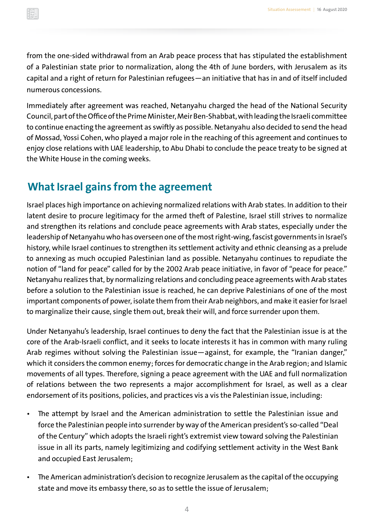<span id="page-6-0"></span>from the one-sided withdrawal from an Arab peace process that has stipulated the establishment of a Palestinian state prior to normalization, along the 4th of June borders, with Jerusalem as its capital and a right of return for Palestinian refugees—an initiative that has in and of itself included numerous concessions.

Immediately after agreement was reached, Netanyahu charged the head of the National Security Council, part of the Office of the Prime Minister, Meir Ben-Shabbat, with leading the Israeli committee to continue enacting the agreement as swiftly as possible. Netanyahu also decided to send the head of Mossad, Yossi Cohen, who played a major role in the reaching of this agreement and continues to enjoy close relations with UAE leadership, to Abu Dhabi to conclude the peace treaty to be signed at the White House in the coming weeks.

#### **What Israel gains from the agreement**

Israel places high importance on achieving normalized relations with Arab states. In addition to their latent desire to procure legitimacy for the armed theft of Palestine, Israel still strives to normalize and strengthen its relations and conclude peace agreements with Arab states, especially under the leadership of Netanyahu who has overseen one of the most right-wing, fascist governments in Israel's history, while Israel continues to strengthen its settlement activity and ethnic cleansing as a prelude to annexing as much occupied Palestinian land as possible. Netanyahu continues to repudiate the notion of "land for peace" called for by the 2002 Arab peace initiative, in favor of "peace for peace." Netanyahu realizes that, by normalizing relations and concluding peace agreements with Arab states before a solution to the Palestinian issue is reached, he can deprive Palestinians of one of the most important components of power, isolate them from their Arab neighbors, and make it easier for Israel to marginalize their cause, single them out, break their will, and force surrender upon them.

Under Netanyahu's leadership, Israel continues to deny the fact that the Palestinian issue is at the core of the Arab-Israeli conflict, and it seeks to locate interests it has in common with many ruling Arab regimes without solving the Palestinian issue—against, for example, the "Iranian danger," which it considers the common enemy; forces for democratic change in the Arab region; and Islamic movements of all types. Therefore, signing a peace agreement with the UAE and full normalization of relations between the two represents a major accomplishment for Israel, as well as a clear endorsement of its positions, policies, and practices vis a vis the Palestinian issue, including:

- The attempt by Israel and the American administration to settle the Palestinian issue and force the Palestinian people into surrender by way of the American president's so-called "Deal of the Century" which adopts the Israeli right's extremist view toward solving the Palestinian issue in all its parts, namely legitimizing and codifying settlement activity in the West Bank and occupied East Jerusalem;
- The American administration's decision to recognize Jerusalem as the capital of the occupying state and move its embassy there, so as to settle the issue of Jerusalem;